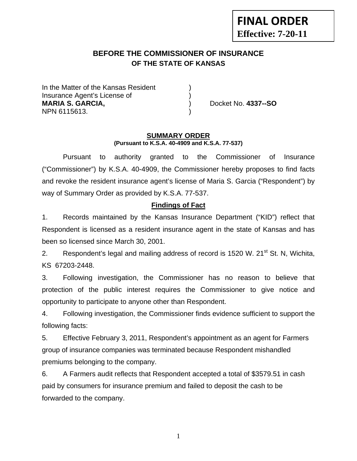# **FINAL ORDER Effective: 7-20-11**

## **BEFORE THE COMMISSIONER OF INSURANCE OF THE STATE OF KANSAS**

In the Matter of the Kansas Resident Insurance Agent's License of ) **MARIA S. GARCIA,** ) Docket No. **4337--SO** NPN 6115613. )

#### **SUMMARY ORDER (Pursuant to K.S.A. 40-4909 and K.S.A. 77-537)**

 Pursuant to authority granted to the Commissioner of Insurance ("Commissioner") by K.S.A. 40-4909, the Commissioner hereby proposes to find facts and revoke the resident insurance agent's license of Maria S. Garcia ("Respondent") by way of Summary Order as provided by K.S.A. 77-537.

#### **Findings of Fact**

1. Records maintained by the Kansas Insurance Department ("KID") reflect that Respondent is licensed as a resident insurance agent in the state of Kansas and has been so licensed since March 30, 2001.

2. Respondent's legal and mailing address of record is 1520 W. 21<sup>st</sup> St. N, Wichita, KS 67203-2448.

3. Following investigation, the Commissioner has no reason to believe that protection of the public interest requires the Commissioner to give notice and opportunity to participate to anyone other than Respondent.

4. Following investigation, the Commissioner finds evidence sufficient to support the following facts:

5. Effective February 3, 2011, Respondent's appointment as an agent for Farmers group of insurance companies was terminated because Respondent mishandled premiums belonging to the company.

6. A Farmers audit reflects that Respondent accepted a total of \$3579.51 in cash paid by consumers for insurance premium and failed to deposit the cash to be forwarded to the company.

1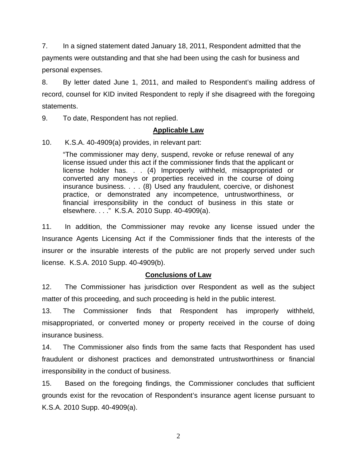7. In a signed statement dated January 18, 2011, Respondent admitted that the payments were outstanding and that she had been using the cash for business and personal expenses.

8. By letter dated June 1, 2011, and mailed to Respondent's mailing address of record, counsel for KID invited Respondent to reply if she disagreed with the foregoing statements.

9. To date, Respondent has not replied.

#### **Applicable Law**

10. K.S.A. 40-4909(a) provides, in relevant part:

"The commissioner may deny, suspend, revoke or refuse renewal of any license issued under this act if the commissioner finds that the applicant or license holder has. . . (4) Improperly withheld, misappropriated or converted any moneys or properties received in the course of doing insurance business. . . . (8) Used any fraudulent, coercive, or dishonest practice, or demonstrated any incompetence, untrustworthiness, or financial irresponsibility in the conduct of business in this state or elsewhere. . . ." K.S.A. 2010 Supp. 40-4909(a).

11. In addition, the Commissioner may revoke any license issued under the Insurance Agents Licensing Act if the Commissioner finds that the interests of the insurer or the insurable interests of the public are not properly served under such license. K.S.A. 2010 Supp. 40-4909(b).

## **Conclusions of Law**

12. The Commissioner has jurisdiction over Respondent as well as the subject matter of this proceeding, and such proceeding is held in the public interest.

13. The Commissioner finds that Respondent has improperly withheld, misappropriated, or converted money or property received in the course of doing insurance business.

14. The Commissioner also finds from the same facts that Respondent has used fraudulent or dishonest practices and demonstrated untrustworthiness or financial irresponsibility in the conduct of business.

15. Based on the foregoing findings, the Commissioner concludes that sufficient grounds exist for the revocation of Respondent's insurance agent license pursuant to K.S.A. 2010 Supp. 40-4909(a).

2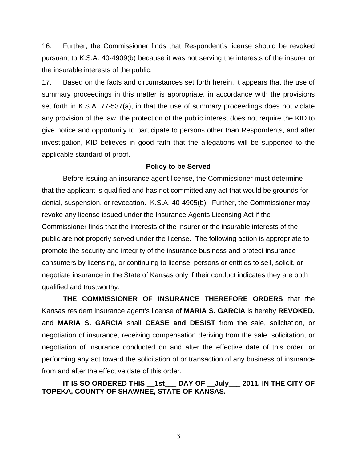16. Further, the Commissioner finds that Respondent's license should be revoked pursuant to K.S.A. 40-4909(b) because it was not serving the interests of the insurer or the insurable interests of the public.

17. Based on the facts and circumstances set forth herein, it appears that the use of summary proceedings in this matter is appropriate, in accordance with the provisions set forth in K.S.A. 77-537(a), in that the use of summary proceedings does not violate any provision of the law, the protection of the public interest does not require the KID to give notice and opportunity to participate to persons other than Respondents, and after investigation, KID believes in good faith that the allegations will be supported to the applicable standard of proof.

#### **Policy to be Served**

 Before issuing an insurance agent license, the Commissioner must determine that the applicant is qualified and has not committed any act that would be grounds for denial, suspension, or revocation. K.S.A. 40-4905(b). Further, the Commissioner may revoke any license issued under the Insurance Agents Licensing Act if the Commissioner finds that the interests of the insurer or the insurable interests of the public are not properly served under the license. The following action is appropriate to promote the security and integrity of the insurance business and protect insurance consumers by licensing, or continuing to license, persons or entities to sell, solicit, or negotiate insurance in the State of Kansas only if their conduct indicates they are both qualified and trustworthy.

 **THE COMMISSIONER OF INSURANCE THEREFORE ORDERS** that the Kansas resident insurance agent's license of **MARIA S. GARCIA** is hereby **REVOKED,**  and **MARIA S. GARCIA** shall **CEASE and DESIST** from the sale, solicitation, or negotiation of insurance, receiving compensation deriving from the sale, solicitation, or negotiation of insurance conducted on and after the effective date of this order, or performing any act toward the solicitation of or transaction of any business of insurance from and after the effective date of this order.

 **IT IS SO ORDERED THIS \_\_1st\_\_\_ DAY OF \_\_July\_\_\_ 2011, IN THE CITY OF TOPEKA, COUNTY OF SHAWNEE, STATE OF KANSAS.** 

3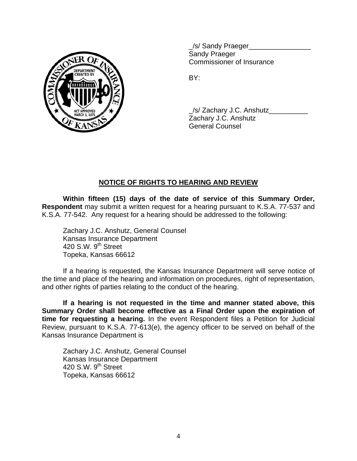

/s/ Sandy Praeger Sandy Praeger Commissioner of Insurance

/s/ Zachary J.C. Anshutz Zachary J.C. Anshutz General Counsel

## **NOTICE OF RIGHTS TO HEARING AND REVIEW**

**Within fifteen (15) days of the date of service of this Summary Order, Respondent** may submit a written request for a hearing pursuant to K.S.A. 77-537 and K.S.A. 77-542. Any request for a hearing should be addressed to the following:

 Zachary J.C. Anshutz, General Counsel Kansas Insurance Department 420 S.W. 9<sup>th</sup> Street Topeka, Kansas 66612

If a hearing is requested, the Kansas Insurance Department will serve notice of the time and place of the hearing and information on procedures, right of representation, and other rights of parties relating to the conduct of the hearing.

**If a hearing is not requested in the time and manner stated above, this Summary Order shall become effective as a Final Order upon the expiration of time for requesting a hearing.** In the event Respondent files a Petition for Judicial Review, pursuant to K.S.A. 77-613(e), the agency officer to be served on behalf of the Kansas Insurance Department is

 Zachary J.C. Anshutz, General Counsel Kansas Insurance Department 420 S.W.  $9<sup>th</sup>$  Street Topeka, Kansas 66612